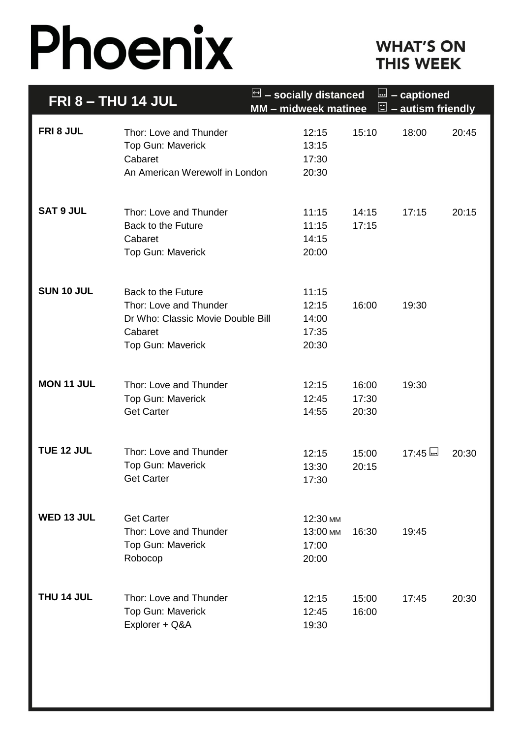# Phoenix

## **WHAT'S ON THIS WEEK**

| <b>FRI 8 - THU 14 JUL</b> |                                                                                                                          | $\Box$ – socially distanced<br>MM - midweek matinee |                         | <u>l</u> - captioned<br>$\mathbb{E}$ – autism friendly |       |
|---------------------------|--------------------------------------------------------------------------------------------------------------------------|-----------------------------------------------------|-------------------------|--------------------------------------------------------|-------|
| FRI 8 JUL                 | Thor: Love and Thunder<br>Top Gun: Maverick<br>Cabaret<br>An American Werewolf in London                                 | 12:15<br>13:15<br>17:30<br>20:30                    | 15:10                   | 18:00                                                  | 20:45 |
| <b>SAT 9 JUL</b>          | Thor: Love and Thunder<br><b>Back to the Future</b><br>Cabaret<br>Top Gun: Maverick                                      | 11:15<br>11:15<br>14:15<br>20:00                    | 14:15<br>17:15          | 17:15                                                  | 20:15 |
| SUN 10 JUL                | <b>Back to the Future</b><br>Thor: Love and Thunder<br>Dr Who: Classic Movie Double Bill<br>Cabaret<br>Top Gun: Maverick | 11:15<br>12:15<br>14:00<br>17:35<br>20:30           | 16:00                   | 19:30                                                  |       |
| <b>MON 11 JUL</b>         | Thor: Love and Thunder<br>Top Gun: Maverick<br><b>Get Carter</b>                                                         | 12:15<br>12:45<br>14:55                             | 16:00<br>17:30<br>20:30 | 19:30                                                  |       |
| TUE 12 JUL                | Thor: Love and Thunder<br><b>Top Gun: Maverick</b><br><b>Get Carter</b>                                                  | 12:15<br>13:30<br>17:30                             | 15:00<br>20:15          | <u>اسا 17:45 </u>                                      | 20:30 |
| WED 13 JUL                | <b>Get Carter</b><br>Thor: Love and Thunder<br>Top Gun: Maverick<br>Robocop                                              | 12:30 мм<br>13:00 мм<br>17:00<br>20:00              | 16:30                   | 19:45                                                  |       |
| THU 14 JUL                | Thor: Love and Thunder<br><b>Top Gun: Maverick</b><br>Explorer + Q&A                                                     | 12:15<br>12:45<br>19:30                             | 15:00<br>16:00          | 17:45                                                  | 20:30 |